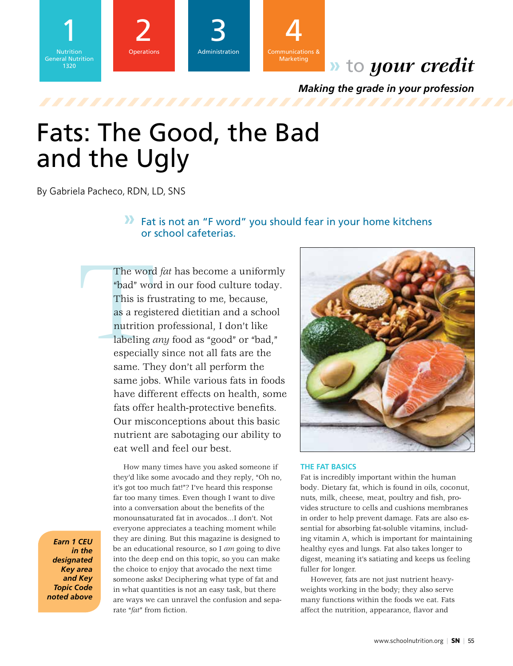

## **»** to *your credit*

*Making the grade in your profession*

# Fats: The Good, the Bad and the Ugly

By Gabriela Pacheco, RDN, LD, SNS

### **»** Fat is not an "F word" you should fear in your home kitchens or school cafeterias.

The word<br>
"bad" word<br>
This is fri<br>
as a regis<br>
nutrition<br>
labeling c<br>
especially<br>
same. Th The word *fat* has become a uniformly "bad" word in our food culture today. This is frustrating to me, because, as a registered dietitian and a school nutrition professional, I don't like labeling *any* food as "good" or "bad," especially since not all fats are the same. They don't all perform the same jobs. While various fats in foods have different effects on health, some fats offer health-protective benefits. Our misconceptions about this basic nutrient are sabotaging our ability to eat well and feel our best.

> How many times have you asked someone if they'd like some avocado and they reply, "Oh no, it's got too much fat!"? I've heard this response far too many times. Even though I want to dive into a conversation about the benefits of the monounsaturated fat in avocados…I don't. Not everyone appreciates a teaching moment while they are dining. But this magazine is designed to be an educational resource, so I *am* going to dive into the deep end on this topic, so you can make the choice to enjoy that avocado the next time someone asks! Deciphering what type of fat and in what quantities is not an easy task, but there are ways we can unravel the confusion and separate "*fat*" from fiction.



#### **THE FAT BASICS**

Fat is incredibly important within the human body. Dietary fat, which is found in oils, coconut, nuts, milk, cheese, meat, poultry and fish, provides structure to cells and cushions membranes in order to help prevent damage. Fats are also essential for absorbing fat-soluble vitamins, including vitamin A, which is important for maintaining healthy eyes and lungs. Fat also takes longer to digest, meaning it's satiating and keeps us feeling fuller for longer.

However, fats are not just nutrient heavyweights working in the body; they also serve many functions within the foods we eat. Fats affect the nutrition, appearance, flavor and

*Earn 1 CEU in the designated Key area and Key Topic Code noted above*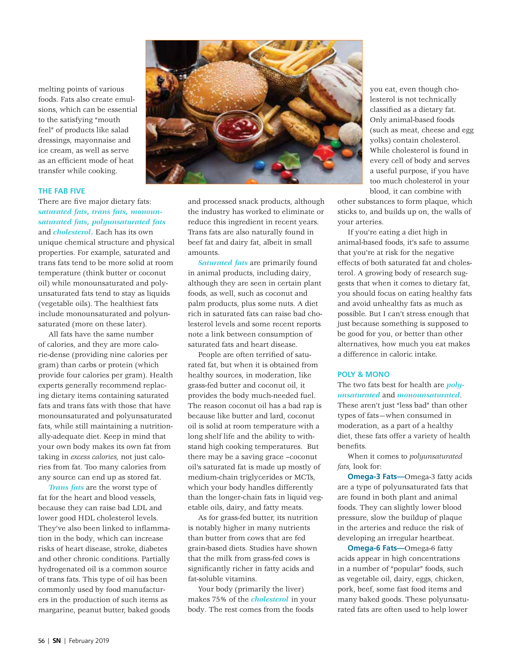melting points of various foods. Fats also create emulsions, which can be essential to the satisfying "mouth feel" of products like salad dressings, mayonnaise and ice cream, as well as serve as an efficient mode of heat transfer while cooking.

#### **THE FAB FIVE**

There are five major dietary fats: *saturated fats, trans fats, monounsaturated fats, polyunsaturated fats* and *cholesterol.* Each has its own unique chemical structure and physical properties. For example, saturated and trans fats tend to be more solid at room temperature (think butter or coconut oil) while monounsaturated and polyunsaturated fats tend to stay as liquids (vegetable oils). The healthiest fats include monounsaturated and polyunsaturated (more on these later).

All fats have the same number of calories, and they are more calorie-dense (providing nine calories per gram) than carbs or protein (which provide four calories per gram). Health experts generally recommend replacing dietary items containing saturated fats and trans fats with those that have monounsaturated and polyunsaturated fats, while still maintaining a nutritionally-adequate diet. Keep in mind that your own body makes its own fat from taking in *excess calories,* not just calories from fat. Too many calories from any source can end up as stored fat.

*Trans fats* are the worst type of fat for the heart and blood vessels, because they can raise bad LDL and lower good HDL cholesterol levels. They've also been linked to inflammation in the body, which can increase risks of heart disease, stroke, diabetes and other chronic conditions. Partially hydrogenated oil is a common source of trans fats. This type of oil has been commonly used by food manufacturers in the production of such items as margarine, peanut butter, baked goods



and processed snack products, although the industry has worked to eliminate or reduce this ingredient in recent years. Trans fats are also naturally found in beef fat and dairy fat, albeit in small amounts.

*Saturated fats* are primarily found in animal products, including dairy, although they are seen in certain plant foods, as well, such as coconut and palm products, plus some nuts. A diet rich in saturated fats can raise bad cholesterol levels and some recent reports note a link between consumption of saturated fats and heart disease.

People are often terrified of saturated fat, but when it is obtained from healthy sources, in moderation, like grass-fed butter and coconut oil, it provides the body much-needed fuel. The reason coconut oil has a bad rap is because like butter and lard, coconut oil is solid at room temperature with a long shelf life and the ability to withstand high cooking temperatures. But there may be a saving grace –coconut oil's saturated fat is made up mostly of medium-chain triglycerides or MCTs, which your body handles differently than the longer-chain fats in liquid vegetable oils, dairy, and fatty meats.

As for grass-fed butter, its nutrition is notably higher in many nutrients than butter from cows that are fed grain-based diets. Studies have shown that the milk from grass-fed cows is significantly richer in fatty acids and fat-soluble vitamins.

Your body (primarily the liver) makes 75% of the *cholesterol* in your body. The rest comes from the foods

you eat, even though cholesterol is not technically classified as a dietary fat. Only animal-based foods (such as meat, cheese and egg yolks) contain cholesterol. While cholesterol is found in every cell of body and serves a useful purpose, if you have too much cholesterol in your blood, it can combine with

other substances to form plaque, which sticks to, and builds up on, the walls of your arteries.

If you're eating a diet high in animal-based foods, it's safe to assume that you're at risk for the negative effects of both saturated fat and cholesterol. A growing body of research suggests that when it comes to dietary fat, you should focus on eating healthy fats and avoid unhealthy fats as much as possible. But I can't stress enough that just because something is supposed to be good for you, or better than other alternatives, how much you eat makes a difference in caloric intake.

#### **POLY & MONO**

The two fats best for health are *polyunsaturated* and *monounsaturated*. These aren't just "less bad" than other types of fats—when consumed in moderation, as a part of a healthy diet, these fats offer a variety of health benefits.

When it comes to *polyunsaturated fats,* look for:

**Omega-3 Fats—**Omega-3 fatty acids are a type of polyunsaturated fats that are found in both plant and animal foods. They can slightly lower blood pressure, slow the buildup of plaque in the arteries and reduce the risk of developing an irregular heartbeat.

**Omega-6 Fats—**Omega-6 fatty acids appear in high concentrations in a number of "popular" foods, such as vegetable oil, dairy, eggs, chicken, pork, beef, some fast food items and many baked goods. These polyunsaturated fats are often used to help lower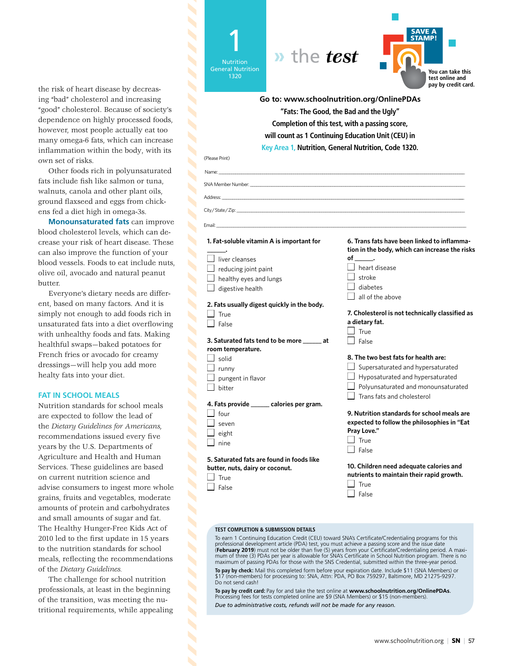the risk of heart disease by decreasing "bad" cholesterol and increasing "good" cholesterol. Because of society's dependence on highly processed foods, however, most people actually eat too many omega-6 fats, which can increase inflammation within the body, with its own set of risks.

Other foods rich in polyunsaturated fats include fish like salmon or tuna, walnuts, canola and other plant oils, ground flaxseed and eggs from chickens fed a diet high in omega-3s.

**Monounsaturated fats** can improve blood cholesterol levels, which can decrease your risk of heart disease. These can also improve the function of your blood vessels. Foods to eat include nuts, olive oil, avocado and natural peanut butter.

Everyone's dietary needs are different, based on many factors. And it is simply not enough to add foods rich in unsaturated fats into a diet overflowing with unhealthy foods and fats. Making healthful swaps—baked potatoes for French fries or avocado for creamy dressings—will help you add more healty fats into your diet.

#### **FAT IN SCHOOL MEALS**

Nutrition standards for school meals are expected to follow the lead of the *Dietary Guidelines for Americans,* recommendations issued every five years by the U.S. Departments of Agriculture and Health and Human Services. These guidelines are based on current nutrition science and advise consumers to ingest more whole grains, fruits and vegetables, moderate amounts of protein and carbohydrates and small amounts of sugar and fat. The Healthy Hunger-Free Kids Act of 2010 led to the first update in 15 years to the nutrition standards for school meals, reflecting the recommendations of the *Dietary Guidelines.* 

The challenge for school nutrition professionals, at least in the beginning of the transition, was meeting the nutritional requirements, while appealing

| <i>n</i> the test<br><b>Nutrition</b><br><b>General Nutrition</b><br>1320                                                             | SAVE A<br>STAMP!<br>You can take this<br>test online and<br>pay by credit card.            |                                                      |  |
|---------------------------------------------------------------------------------------------------------------------------------------|--------------------------------------------------------------------------------------------|------------------------------------------------------|--|
| Go to: www.schoolnutrition.org/OnlinePDAs<br>"Fats: The Good, the Bad and the Ugly"<br>Completion of this test, with a passing score, |                                                                                            |                                                      |  |
|                                                                                                                                       |                                                                                            | will count as 1 Continuing Education Unit (CEU) in   |  |
|                                                                                                                                       |                                                                                            | Key Area 1, Nutrition, General Nutrition, Code 1320. |  |
| (Please Print)                                                                                                                        |                                                                                            |                                                      |  |
|                                                                                                                                       |                                                                                            |                                                      |  |
| Name:                                                                                                                                 |                                                                                            |                                                      |  |
| SNA Member Number: __________                                                                                                         |                                                                                            |                                                      |  |
| Address: _                                                                                                                            |                                                                                            |                                                      |  |
| City / State / Zip:                                                                                                                   |                                                                                            |                                                      |  |
|                                                                                                                                       |                                                                                            |                                                      |  |
| Email:                                                                                                                                |                                                                                            |                                                      |  |
| 1. Fat-soluble vitamin A is important for                                                                                             | 6. Trans fats have been linked to inflamma-                                                |                                                      |  |
|                                                                                                                                       | tion in the body, which can increase the risks                                             |                                                      |  |
| l liver cleanses                                                                                                                      | of.                                                                                        |                                                      |  |
| $\perp$ reducing joint paint                                                                                                          | heart disease                                                                              |                                                      |  |
| $\Box$ healthy eyes and lungs                                                                                                         | stroke<br>diabetes                                                                         |                                                      |  |
| $\Box$ digestive health                                                                                                               | all of the above                                                                           |                                                      |  |
| 2. Fats usually digest quickly in the body.                                                                                           |                                                                                            |                                                      |  |
| True                                                                                                                                  | 7. Cholesterol is not technically classified as                                            |                                                      |  |
| False                                                                                                                                 | a dietary fat.                                                                             |                                                      |  |
|                                                                                                                                       | True                                                                                       |                                                      |  |
| 3. Saturated fats tend to be more ______ at<br>room temperature.                                                                      | False                                                                                      |                                                      |  |
| l solid                                                                                                                               | 8. The two best fats for health are:                                                       |                                                      |  |
| runny                                                                                                                                 | Supersaturated and hypersaturated                                                          |                                                      |  |
| pungent in flavor                                                                                                                     | Hyposaturated and hypersaturated                                                           |                                                      |  |
| bitter                                                                                                                                | Polvunsaturated and monounsaturated                                                        |                                                      |  |
|                                                                                                                                       | Trans fats and cholesterol                                                                 |                                                      |  |
| 4. Fats provide _____ calories per gram.                                                                                              |                                                                                            |                                                      |  |
| four                                                                                                                                  | 9. Nutrition standards for school meals are<br>expected to follow the philosophies in "Eat |                                                      |  |
| seven                                                                                                                                 | Pray Love."                                                                                |                                                      |  |
| eight<br>nine                                                                                                                         | True                                                                                       |                                                      |  |
|                                                                                                                                       | False                                                                                      |                                                      |  |
| 5. Saturated fats are found in foods like                                                                                             |                                                                                            |                                                      |  |
| butter, nuts, dairy or coconut.                                                                                                       | 10. Children need adequate calories and<br>nutrients to maintain their rapid growth.       |                                                      |  |
| True                                                                                                                                  | True                                                                                       |                                                      |  |
| False                                                                                                                                 | False                                                                                      |                                                      |  |
|                                                                                                                                       |                                                                                            |                                                      |  |

#### **TEST COMPLETION & SUBMISSION DETAILS**

To earn 1 Continuing Education Credit (CEU) toward SNA's Certificate/Credentialing programs for this<br>professional development article (PDA) test, you must achieve a passing score and the issue date<br>(**February 2019**) must n mum of three (3) PDAs per year is allowable for SNA's Certificate in School Nutrition program. There is no maximum of passing PDAs for those with the SNS Credential, submitted within the three-year period.

**To pay by check:** Mail this completed form before your expiration date. Include \$11 (SNA Members) or (non-members) for processing to: SNA, Attn: PDA, PO Box 759297, Baltimore, MD 21275-9297. Do not send cash!

**To pay by credit card:** Pay for and take the test online at **www.schoolnutrition.org/OnlinePDAs**. Processing fees for tests completed online are \$9 (SNA Members) or \$15 (non-members). *Due to administrative costs, refunds will not be made for any reason.*